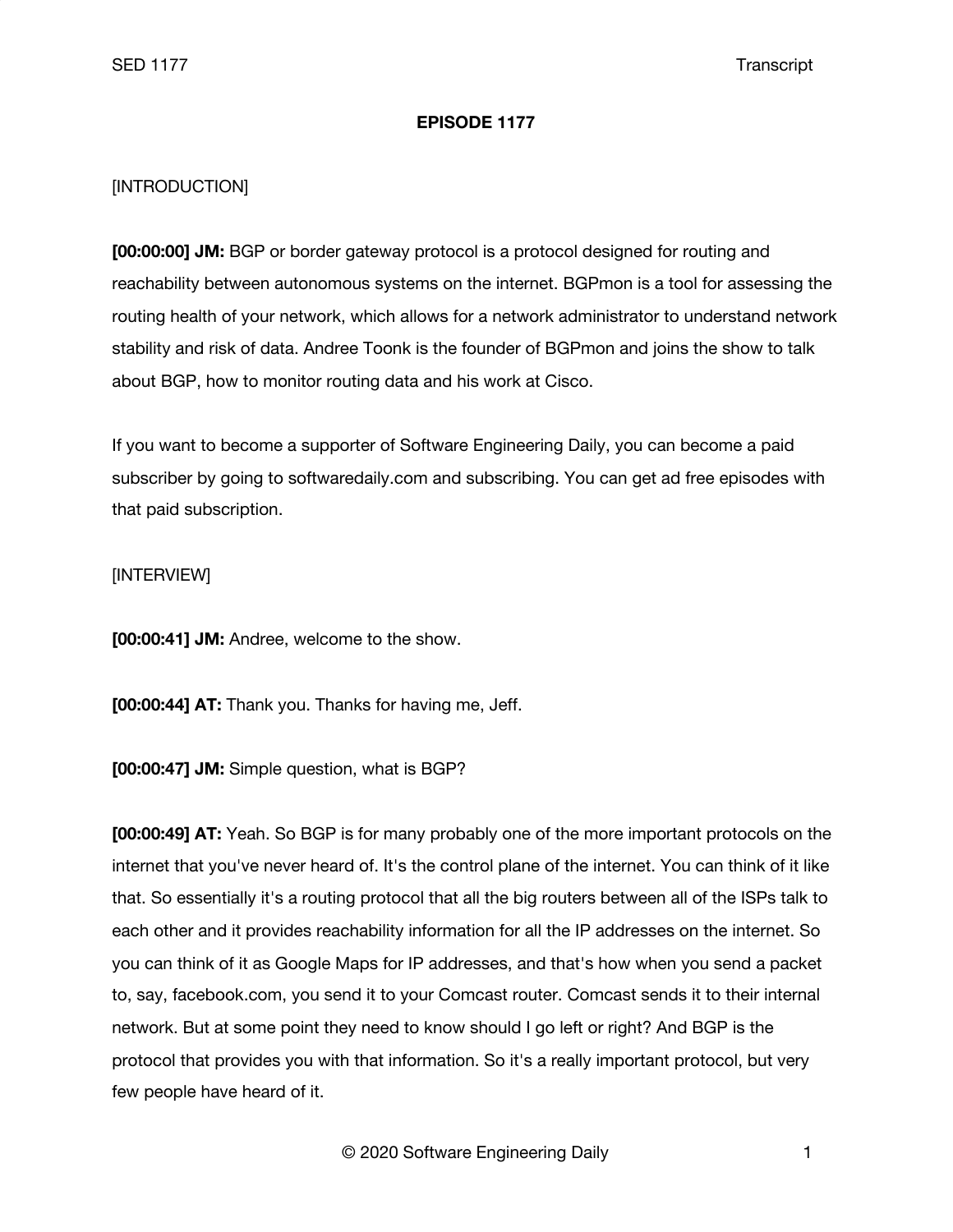## **EPISODE 1177**

## [INTRODUCTION]

**[00:00:00] JM:** BGP or border gateway protocol is a protocol designed for routing and reachability between autonomous systems on the internet. BGPmon is a tool for assessing the routing health of your network, which allows for a network administrator to understand network stability and risk of data. Andree Toonk is the founder of BGPmon and joins the show to talk about BGP, how to monitor routing data and his work at Cisco.

If you want to become a supporter of Software Engineering Daily, you can become a paid subscriber by going to softwaredaily.com and subscribing. You can get ad free episodes with that paid subscription.

## [INTERVIEW]

**[00:00:41] JM:** Andree, welcome to the show.

**[00:00:44] AT:** Thank you. Thanks for having me, Jeff.

**[00:00:47] JM:** Simple question, what is BGP?

**[00:00:49] AT:** Yeah. So BGP is for many probably one of the more important protocols on the internet that you've never heard of. It's the control plane of the internet. You can think of it like that. So essentially it's a routing protocol that all the big routers between all of the ISPs talk to each other and it provides reachability information for all the IP addresses on the internet. So you can think of it as Google Maps for IP addresses, and that's how when you send a packet to, say, facebook.com, you send it to your Comcast router. Comcast sends it to their internal network. But at some point they need to know should I go left or right? And BGP is the protocol that provides you with that information. So it's a really important protocol, but very few people have heard of it.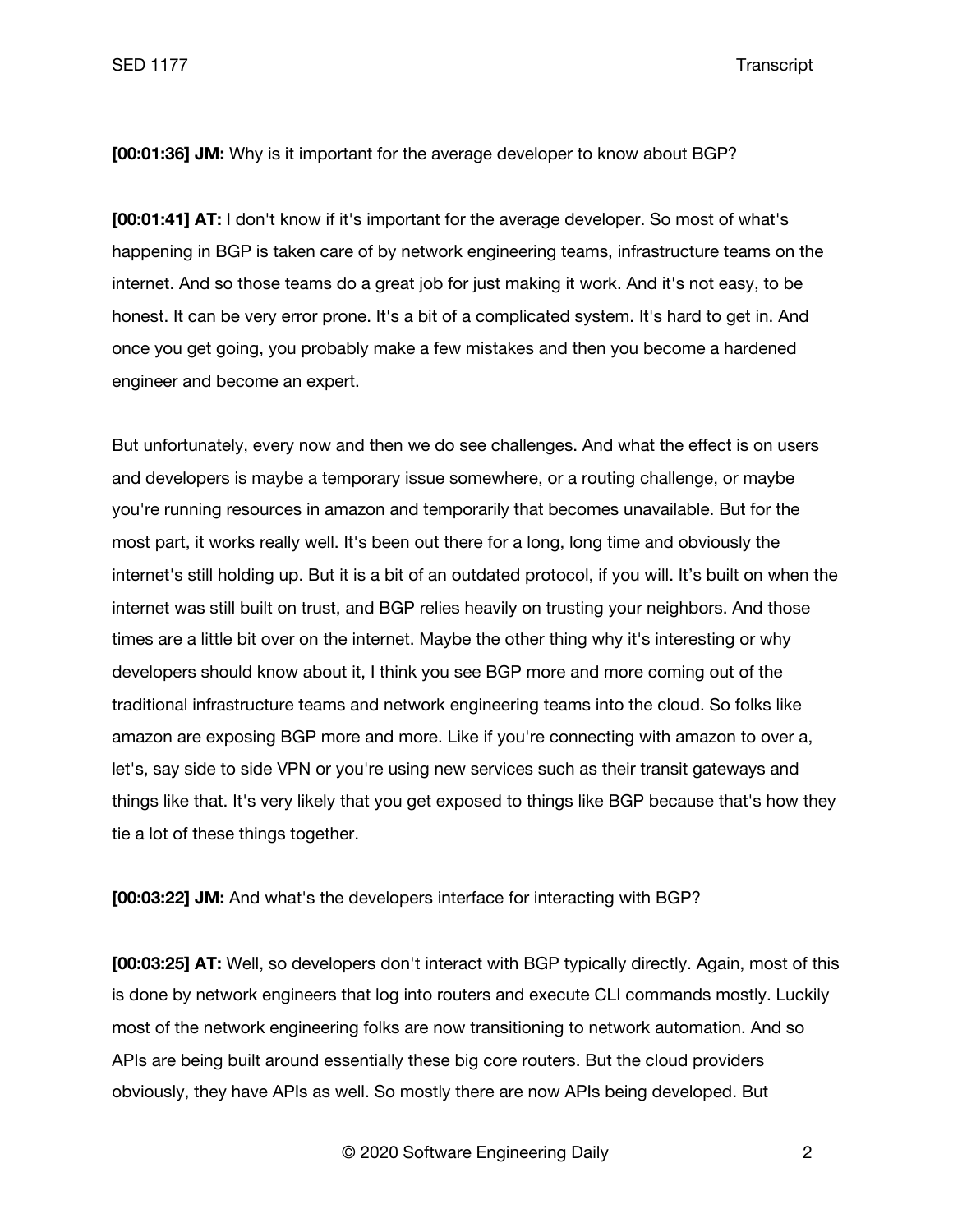SED 1177 Transcript

**[00:01:36] JM:** Why is it important for the average developer to know about BGP?

**[00:01:41] AT:** I don't know if it's important for the average developer. So most of what's happening in BGP is taken care of by network engineering teams, infrastructure teams on the internet. And so those teams do a great job for just making it work. And it's not easy, to be honest. It can be very error prone. It's a bit of a complicated system. It's hard to get in. And once you get going, you probably make a few mistakes and then you become a hardened engineer and become an expert.

But unfortunately, every now and then we do see challenges. And what the effect is on users and developers is maybe a temporary issue somewhere, or a routing challenge, or maybe you're running resources in amazon and temporarily that becomes unavailable. But for the most part, it works really well. It's been out there for a long, long time and obviously the internet's still holding up. But it is a bit of an outdated protocol, if you will. It's built on when the internet was still built on trust, and BGP relies heavily on trusting your neighbors. And those times are a little bit over on the internet. Maybe the other thing why it's interesting or why developers should know about it, I think you see BGP more and more coming out of the traditional infrastructure teams and network engineering teams into the cloud. So folks like amazon are exposing BGP more and more. Like if you're connecting with amazon to over a, let's, say side to side VPN or you're using new services such as their transit gateways and things like that. It's very likely that you get exposed to things like BGP because that's how they tie a lot of these things together.

**[00:03:22] JM:** And what's the developers interface for interacting with BGP?

**[00:03:25] AT:** Well, so developers don't interact with BGP typically directly. Again, most of this is done by network engineers that log into routers and execute CLI commands mostly. Luckily most of the network engineering folks are now transitioning to network automation. And so APIs are being built around essentially these big core routers. But the cloud providers obviously, they have APIs as well. So mostly there are now APIs being developed. But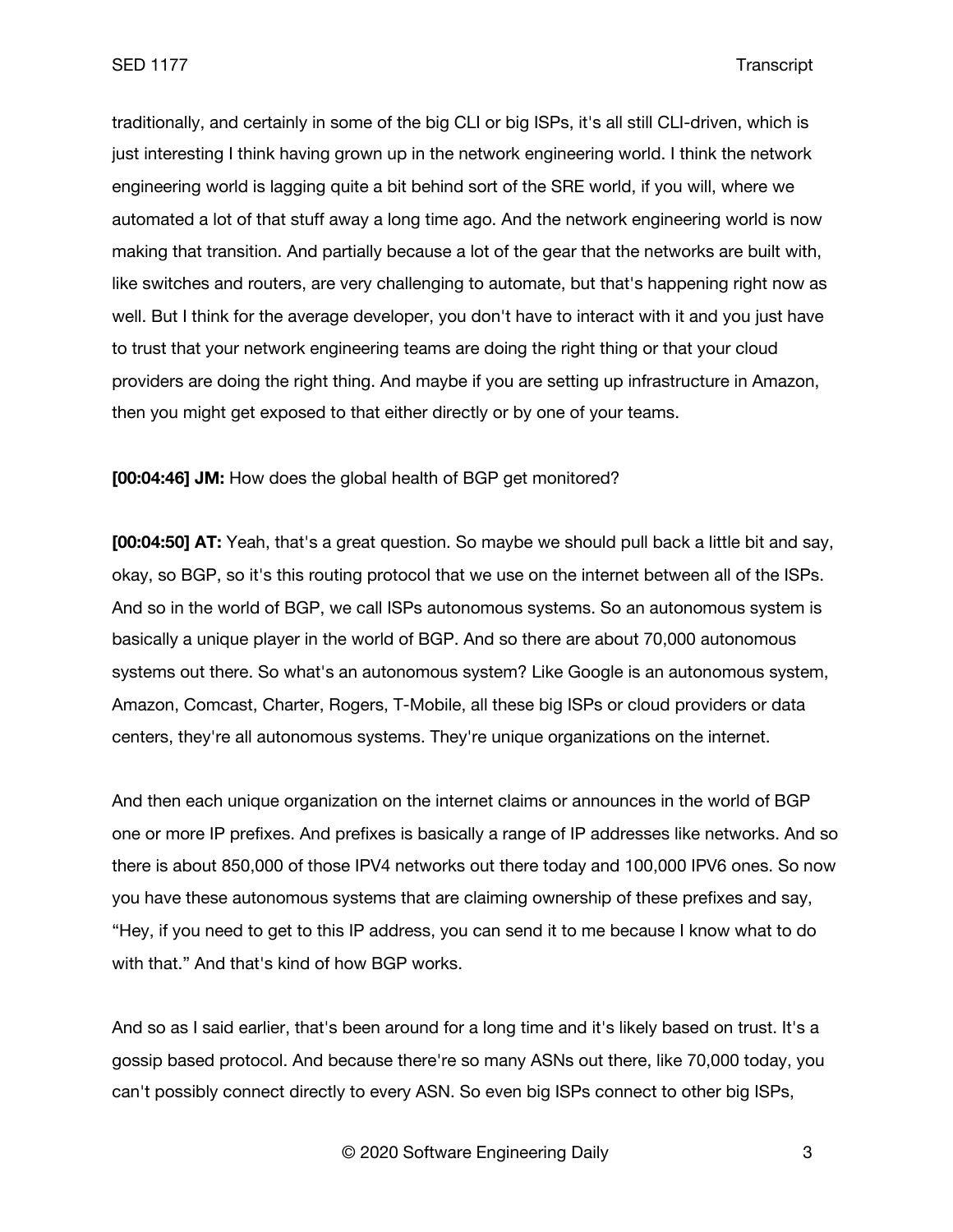traditionally, and certainly in some of the big CLI or big ISPs, it's all still CLI-driven, which is just interesting I think having grown up in the network engineering world. I think the network engineering world is lagging quite a bit behind sort of the SRE world, if you will, where we automated a lot of that stuff away a long time ago. And the network engineering world is now making that transition. And partially because a lot of the gear that the networks are built with, like switches and routers, are very challenging to automate, but that's happening right now as well. But I think for the average developer, you don't have to interact with it and you just have to trust that your network engineering teams are doing the right thing or that your cloud providers are doing the right thing. And maybe if you are setting up infrastructure in Amazon, then you might get exposed to that either directly or by one of your teams.

**[00:04:46] JM:** How does the global health of BGP get monitored?

**[00:04:50] AT:** Yeah, that's a great question. So maybe we should pull back a little bit and say, okay, so BGP, so it's this routing protocol that we use on the internet between all of the ISPs. And so in the world of BGP, we call ISPs autonomous systems. So an autonomous system is basically a unique player in the world of BGP. And so there are about 70,000 autonomous systems out there. So what's an autonomous system? Like Google is an autonomous system, Amazon, Comcast, Charter, Rogers, T-Mobile, all these big ISPs or cloud providers or data centers, they're all autonomous systems. They're unique organizations on the internet.

And then each unique organization on the internet claims or announces in the world of BGP one or more IP prefixes. And prefixes is basically a range of IP addresses like networks. And so there is about 850,000 of those IPV4 networks out there today and 100,000 IPV6 ones. So now you have these autonomous systems that are claiming ownership of these prefixes and say, "Hey, if you need to get to this IP address, you can send it to me because I know what to do with that." And that's kind of how BGP works.

And so as I said earlier, that's been around for a long time and it's likely based on trust. It's a gossip based protocol. And because there're so many ASNs out there, like 70,000 today, you can't possibly connect directly to every ASN. So even big ISPs connect to other big ISPs,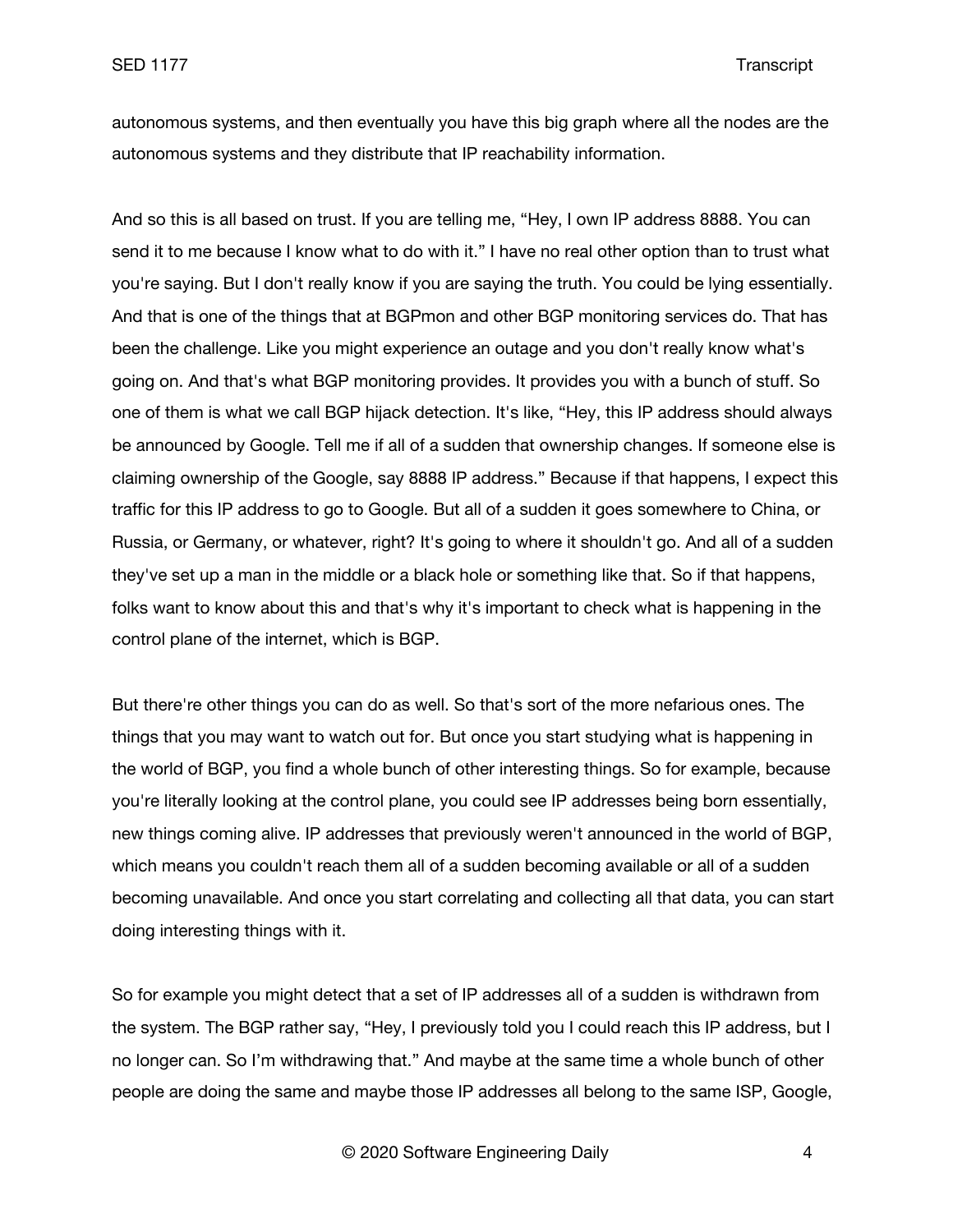autonomous systems, and then eventually you have this big graph where all the nodes are the autonomous systems and they distribute that IP reachability information.

And so this is all based on trust. If you are telling me, "Hey, I own IP address 8888. You can send it to me because I know what to do with it." I have no real other option than to trust what you're saying. But I don't really know if you are saying the truth. You could be lying essentially. And that is one of the things that at BGPmon and other BGP monitoring services do. That has been the challenge. Like you might experience an outage and you don't really know what's going on. And that's what BGP monitoring provides. It provides you with a bunch of stuff. So one of them is what we call BGP hijack detection. It's like, "Hey, this IP address should always be announced by Google. Tell me if all of a sudden that ownership changes. If someone else is claiming ownership of the Google, say 8888 IP address." Because if that happens, I expect this traffic for this IP address to go to Google. But all of a sudden it goes somewhere to China, or Russia, or Germany, or whatever, right? It's going to where it shouldn't go. And all of a sudden they've set up a man in the middle or a black hole or something like that. So if that happens, folks want to know about this and that's why it's important to check what is happening in the control plane of the internet, which is BGP.

But there're other things you can do as well. So that's sort of the more nefarious ones. The things that you may want to watch out for. But once you start studying what is happening in the world of BGP, you find a whole bunch of other interesting things. So for example, because you're literally looking at the control plane, you could see IP addresses being born essentially, new things coming alive. IP addresses that previously weren't announced in the world of BGP, which means you couldn't reach them all of a sudden becoming available or all of a sudden becoming unavailable. And once you start correlating and collecting all that data, you can start doing interesting things with it.

So for example you might detect that a set of IP addresses all of a sudden is withdrawn from the system. The BGP rather say, "Hey, I previously told you I could reach this IP address, but I no longer can. So I'm withdrawing that." And maybe at the same time a whole bunch of other people are doing the same and maybe those IP addresses all belong to the same ISP, Google,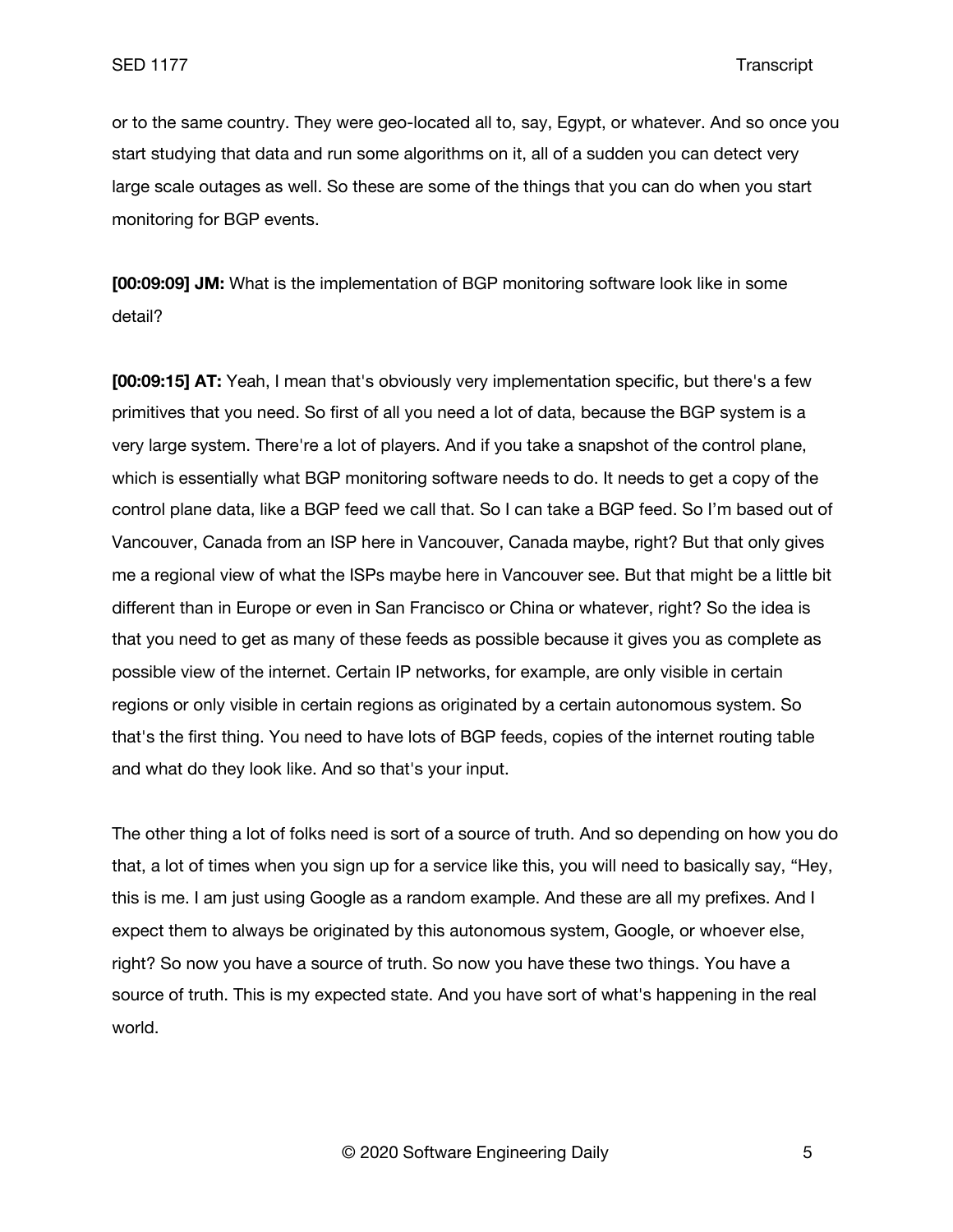or to the same country. They were geo-located all to, say, Egypt, or whatever. And so once you start studying that data and run some algorithms on it, all of a sudden you can detect very large scale outages as well. So these are some of the things that you can do when you start monitoring for BGP events.

**[00:09:09] JM:** What is the implementation of BGP monitoring software look like in some detail?

**[00:09:15] AT:** Yeah, I mean that's obviously very implementation specific, but there's a few primitives that you need. So first of all you need a lot of data, because the BGP system is a very large system. There're a lot of players. And if you take a snapshot of the control plane, which is essentially what BGP monitoring software needs to do. It needs to get a copy of the control plane data, like a BGP feed we call that. So I can take a BGP feed. So I'm based out of Vancouver, Canada from an ISP here in Vancouver, Canada maybe, right? But that only gives me a regional view of what the ISPs maybe here in Vancouver see. But that might be a little bit different than in Europe or even in San Francisco or China or whatever, right? So the idea is that you need to get as many of these feeds as possible because it gives you as complete as possible view of the internet. Certain IP networks, for example, are only visible in certain regions or only visible in certain regions as originated by a certain autonomous system. So that's the first thing. You need to have lots of BGP feeds, copies of the internet routing table and what do they look like. And so that's your input.

The other thing a lot of folks need is sort of a source of truth. And so depending on how you do that, a lot of times when you sign up for a service like this, you will need to basically say, "Hey, this is me. I am just using Google as a random example. And these are all my prefixes. And I expect them to always be originated by this autonomous system, Google, or whoever else, right? So now you have a source of truth. So now you have these two things. You have a source of truth. This is my expected state. And you have sort of what's happening in the real world.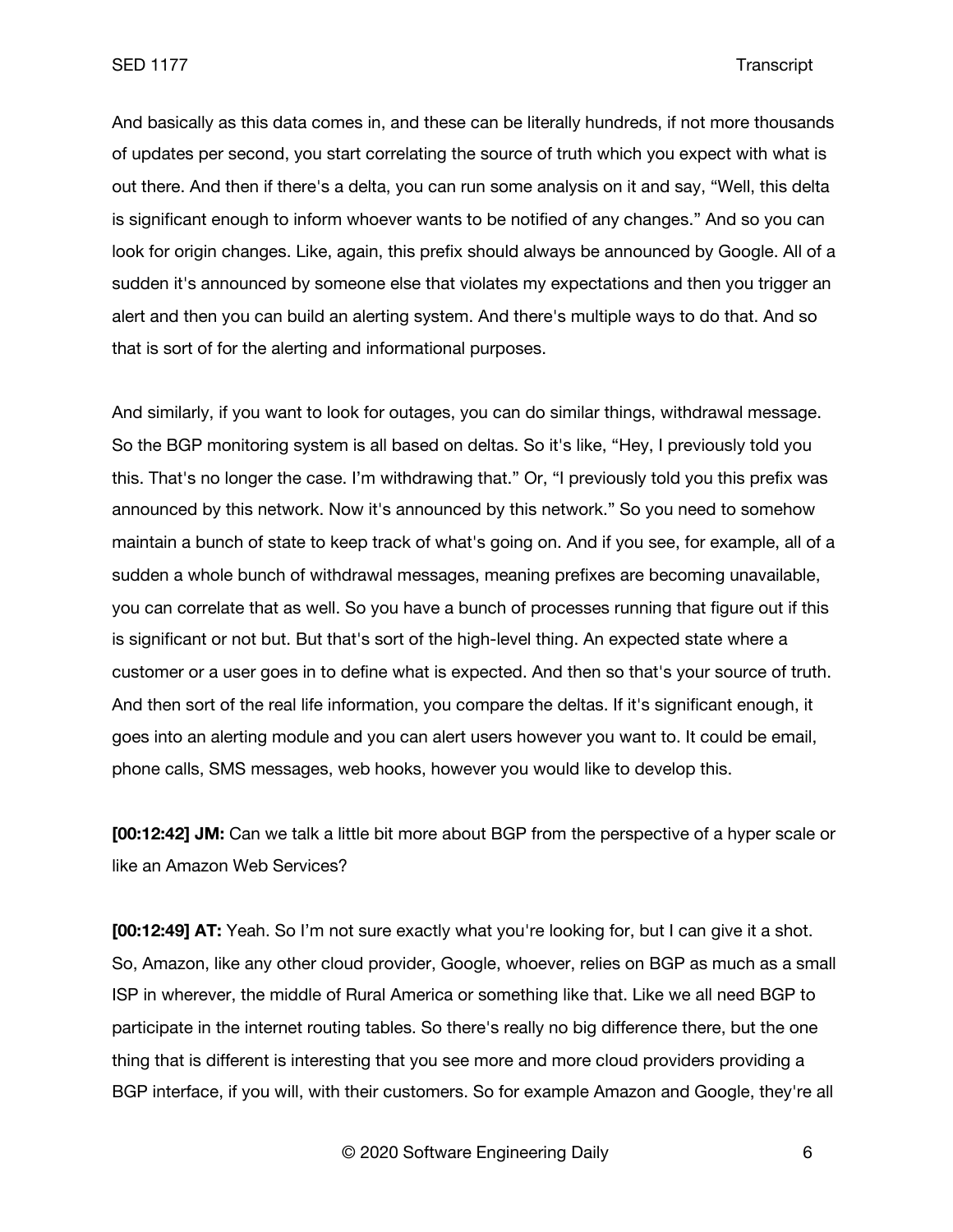And basically as this data comes in, and these can be literally hundreds, if not more thousands of updates per second, you start correlating the source of truth which you expect with what is out there. And then if there's a delta, you can run some analysis on it and say, "Well, this delta is significant enough to inform whoever wants to be notified of any changes." And so you can look for origin changes. Like, again, this prefix should always be announced by Google. All of a sudden it's announced by someone else that violates my expectations and then you trigger an alert and then you can build an alerting system. And there's multiple ways to do that. And so that is sort of for the alerting and informational purposes.

And similarly, if you want to look for outages, you can do similar things, withdrawal message. So the BGP monitoring system is all based on deltas. So it's like, "Hey, I previously told you this. That's no longer the case. I'm withdrawing that." Or, "I previously told you this prefix was announced by this network. Now it's announced by this network." So you need to somehow maintain a bunch of state to keep track of what's going on. And if you see, for example, all of a sudden a whole bunch of withdrawal messages, meaning prefixes are becoming unavailable, you can correlate that as well. So you have a bunch of processes running that figure out if this is significant or not but. But that's sort of the high-level thing. An expected state where a customer or a user goes in to define what is expected. And then so that's your source of truth. And then sort of the real life information, you compare the deltas. If it's significant enough, it goes into an alerting module and you can alert users however you want to. It could be email, phone calls, SMS messages, web hooks, however you would like to develop this.

**[00:12:42] JM:** Can we talk a little bit more about BGP from the perspective of a hyper scale or like an Amazon Web Services?

**[00:12:49] AT:** Yeah. So I'm not sure exactly what you're looking for, but I can give it a shot. So, Amazon, like any other cloud provider, Google, whoever, relies on BGP as much as a small ISP in wherever, the middle of Rural America or something like that. Like we all need BGP to participate in the internet routing tables. So there's really no big difference there, but the one thing that is different is interesting that you see more and more cloud providers providing a BGP interface, if you will, with their customers. So for example Amazon and Google, they're all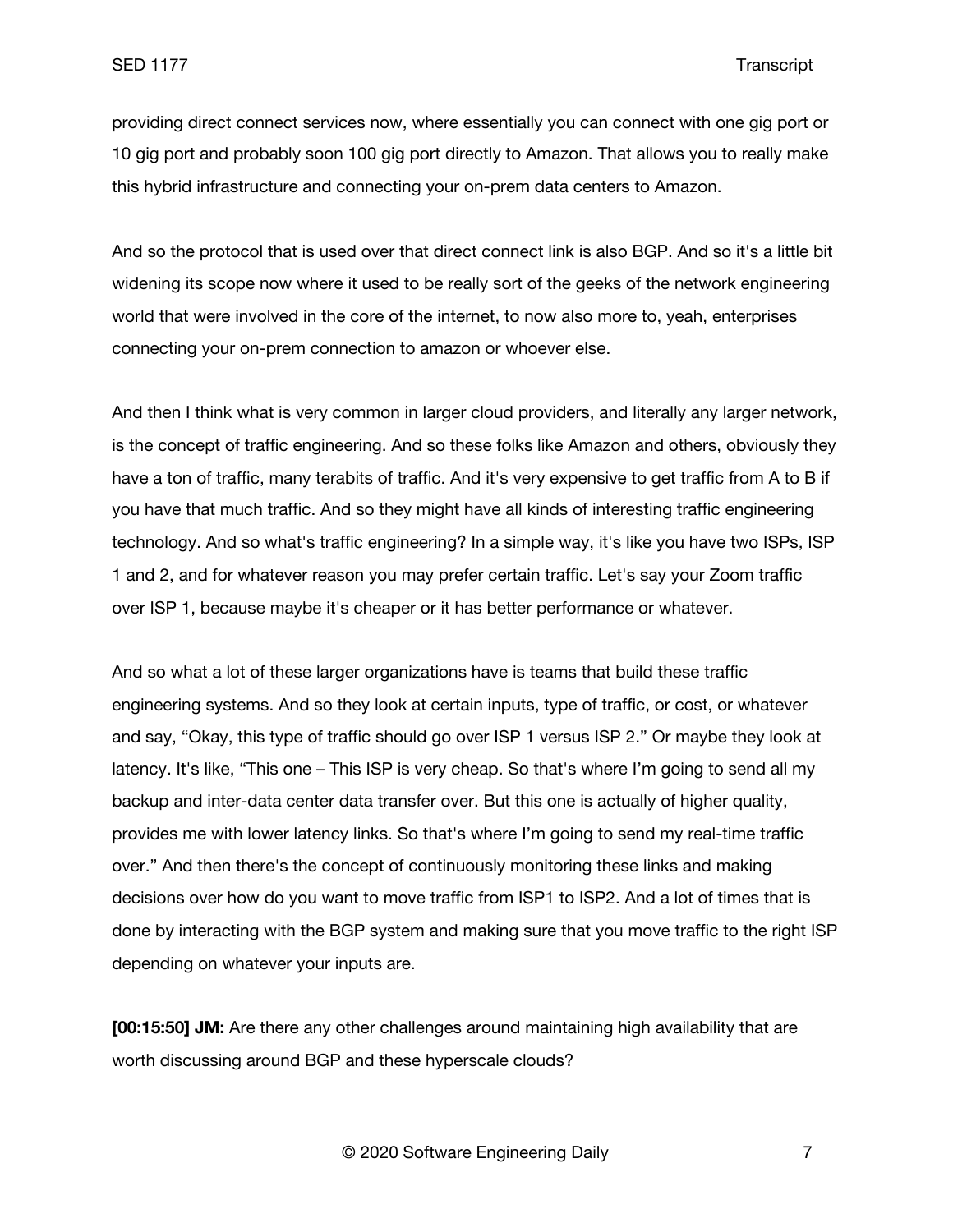providing direct connect services now, where essentially you can connect with one gig port or 10 gig port and probably soon 100 gig port directly to Amazon. That allows you to really make this hybrid infrastructure and connecting your on-prem data centers to Amazon.

And so the protocol that is used over that direct connect link is also BGP. And so it's a little bit widening its scope now where it used to be really sort of the geeks of the network engineering world that were involved in the core of the internet, to now also more to, yeah, enterprises connecting your on-prem connection to amazon or whoever else.

And then I think what is very common in larger cloud providers, and literally any larger network, is the concept of traffic engineering. And so these folks like Amazon and others, obviously they have a ton of traffic, many terabits of traffic. And it's very expensive to get traffic from A to B if you have that much traffic. And so they might have all kinds of interesting traffic engineering technology. And so what's traffic engineering? In a simple way, it's like you have two ISPs, ISP 1 and 2, and for whatever reason you may prefer certain traffic. Let's say your Zoom traffic over ISP 1, because maybe it's cheaper or it has better performance or whatever.

And so what a lot of these larger organizations have is teams that build these traffic engineering systems. And so they look at certain inputs, type of traffic, or cost, or whatever and say, "Okay, this type of traffic should go over ISP 1 versus ISP 2." Or maybe they look at latency. It's like, "This one – This ISP is very cheap. So that's where I'm going to send all my backup and inter-data center data transfer over. But this one is actually of higher quality, provides me with lower latency links. So that's where I'm going to send my real-time traffic over." And then there's the concept of continuously monitoring these links and making decisions over how do you want to move traffic from ISP1 to ISP2. And a lot of times that is done by interacting with the BGP system and making sure that you move traffic to the right ISP depending on whatever your inputs are.

**[00:15:50] JM:** Are there any other challenges around maintaining high availability that are worth discussing around BGP and these hyperscale clouds?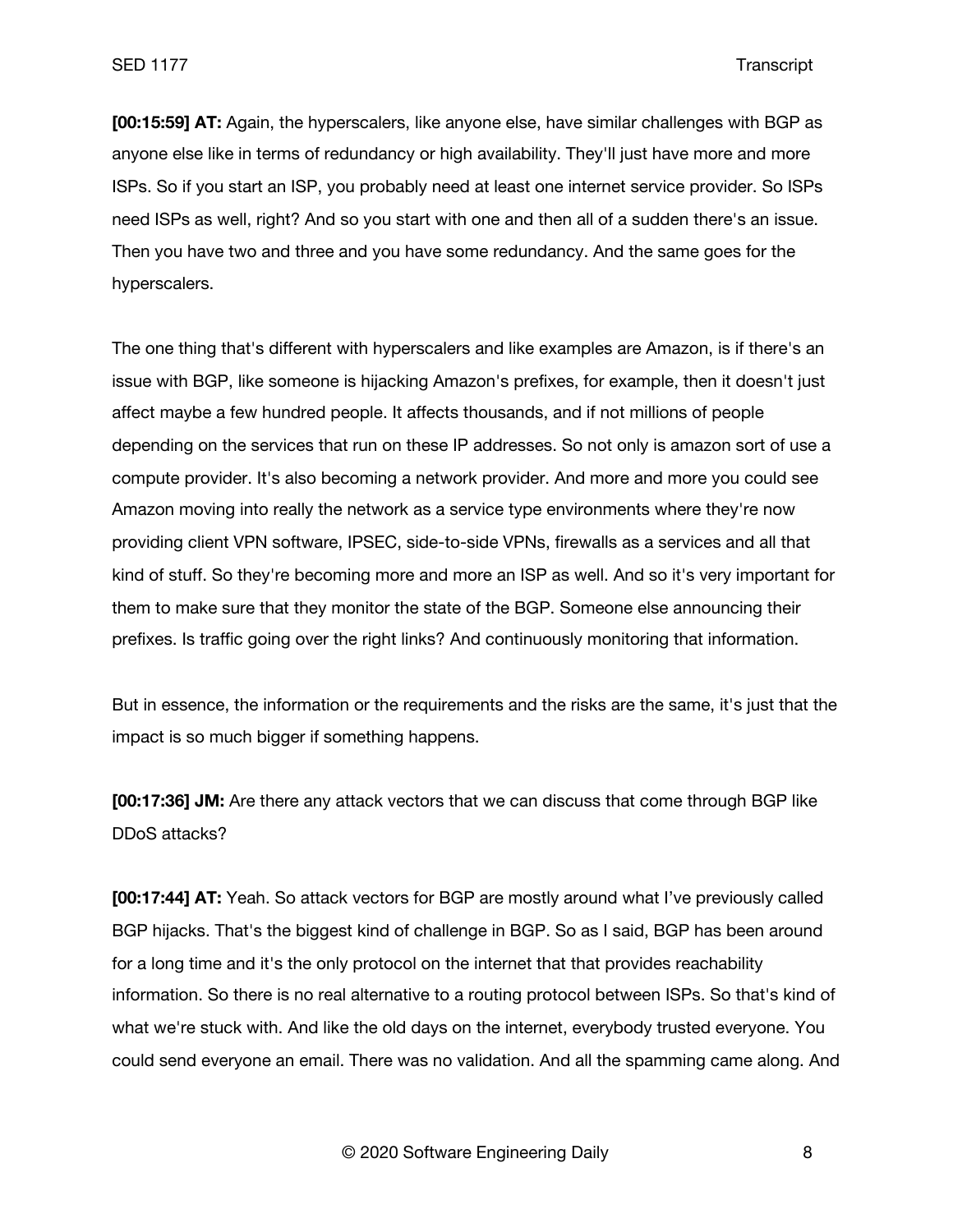**[00:15:59] AT:** Again, the hyperscalers, like anyone else, have similar challenges with BGP as anyone else like in terms of redundancy or high availability. They'll just have more and more ISPs. So if you start an ISP, you probably need at least one internet service provider. So ISPs need ISPs as well, right? And so you start with one and then all of a sudden there's an issue. Then you have two and three and you have some redundancy. And the same goes for the hyperscalers.

The one thing that's different with hyperscalers and like examples are Amazon, is if there's an issue with BGP, like someone is hijacking Amazon's prefixes, for example, then it doesn't just affect maybe a few hundred people. It affects thousands, and if not millions of people depending on the services that run on these IP addresses. So not only is amazon sort of use a compute provider. It's also becoming a network provider. And more and more you could see Amazon moving into really the network as a service type environments where they're now providing client VPN software, IPSEC, side-to-side VPNs, firewalls as a services and all that kind of stuff. So they're becoming more and more an ISP as well. And so it's very important for them to make sure that they monitor the state of the BGP. Someone else announcing their prefixes. Is traffic going over the right links? And continuously monitoring that information.

But in essence, the information or the requirements and the risks are the same, it's just that the impact is so much bigger if something happens.

**[00:17:36] JM:** Are there any attack vectors that we can discuss that come through BGP like DDoS attacks?

**[00:17:44] AT:** Yeah. So attack vectors for BGP are mostly around what I've previously called BGP hijacks. That's the biggest kind of challenge in BGP. So as I said, BGP has been around for a long time and it's the only protocol on the internet that that provides reachability information. So there is no real alternative to a routing protocol between ISPs. So that's kind of what we're stuck with. And like the old days on the internet, everybody trusted everyone. You could send everyone an email. There was no validation. And all the spamming came along. And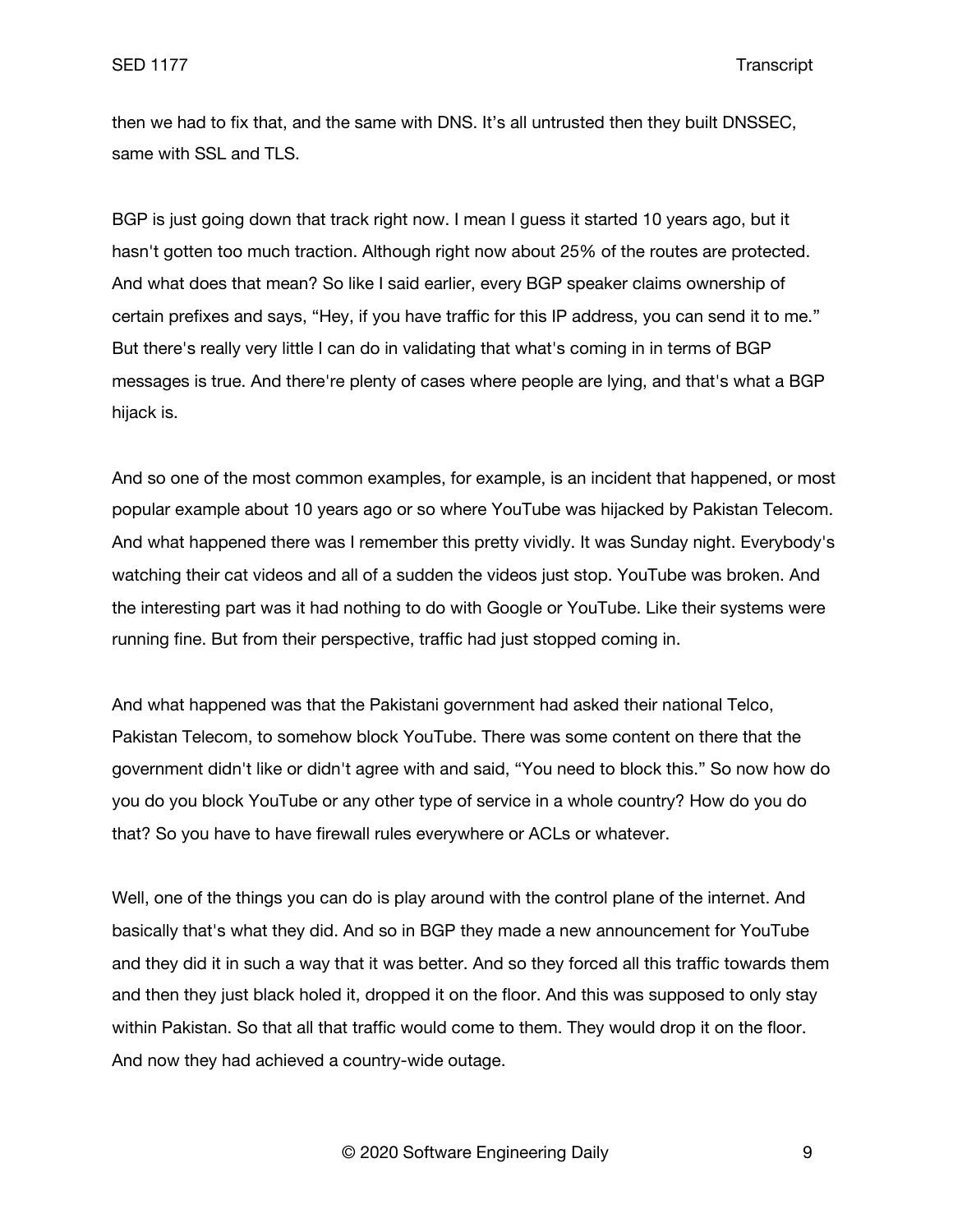then we had to fix that, and the same with DNS. It's all untrusted then they built DNSSEC, same with SSL and TLS.

BGP is just going down that track right now. I mean I guess it started 10 years ago, but it hasn't gotten too much traction. Although right now about 25% of the routes are protected. And what does that mean? So like I said earlier, every BGP speaker claims ownership of certain prefixes and says, "Hey, if you have traffic for this IP address, you can send it to me." But there's really very little I can do in validating that what's coming in in terms of BGP messages is true. And there're plenty of cases where people are lying, and that's what a BGP hijack is.

And so one of the most common examples, for example, is an incident that happened, or most popular example about 10 years ago or so where YouTube was hijacked by Pakistan Telecom. And what happened there was I remember this pretty vividly. It was Sunday night. Everybody's watching their cat videos and all of a sudden the videos just stop. YouTube was broken. And the interesting part was it had nothing to do with Google or YouTube. Like their systems were running fine. But from their perspective, traffic had just stopped coming in.

And what happened was that the Pakistani government had asked their national Telco, Pakistan Telecom, to somehow block YouTube. There was some content on there that the government didn't like or didn't agree with and said, "You need to block this." So now how do you do you block YouTube or any other type of service in a whole country? How do you do that? So you have to have firewall rules everywhere or ACLs or whatever.

Well, one of the things you can do is play around with the control plane of the internet. And basically that's what they did. And so in BGP they made a new announcement for YouTube and they did it in such a way that it was better. And so they forced all this traffic towards them and then they just black holed it, dropped it on the floor. And this was supposed to only stay within Pakistan. So that all that traffic would come to them. They would drop it on the floor. And now they had achieved a country-wide outage.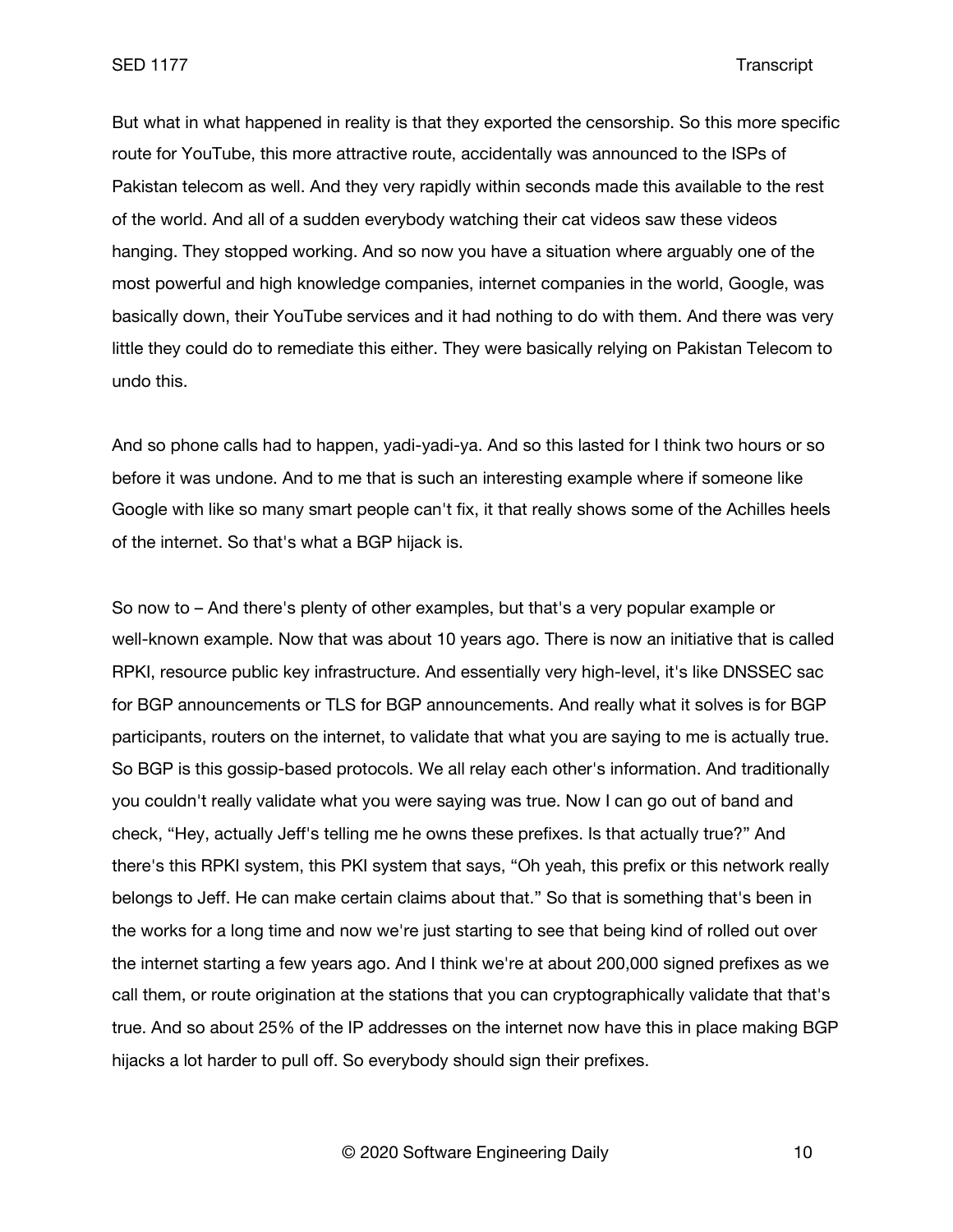But what in what happened in reality is that they exported the censorship. So this more specific route for YouTube, this more attractive route, accidentally was announced to the ISPs of Pakistan telecom as well. And they very rapidly within seconds made this available to the rest of the world. And all of a sudden everybody watching their cat videos saw these videos hanging. They stopped working. And so now you have a situation where arguably one of the most powerful and high knowledge companies, internet companies in the world, Google, was basically down, their YouTube services and it had nothing to do with them. And there was very little they could do to remediate this either. They were basically relying on Pakistan Telecom to undo this.

And so phone calls had to happen, yadi-yadi-ya. And so this lasted for I think two hours or so before it was undone. And to me that is such an interesting example where if someone like Google with like so many smart people can't fix, it that really shows some of the Achilles heels of the internet. So that's what a BGP hijack is.

So now to – And there's plenty of other examples, but that's a very popular example or well-known example. Now that was about 10 years ago. There is now an initiative that is called RPKI, resource public key infrastructure. And essentially very high-level, it's like DNSSEC sac for BGP announcements or TLS for BGP announcements. And really what it solves is for BGP participants, routers on the internet, to validate that what you are saying to me is actually true. So BGP is this gossip-based protocols. We all relay each other's information. And traditionally you couldn't really validate what you were saying was true. Now I can go out of band and check, "Hey, actually Jeff's telling me he owns these prefixes. Is that actually true?" And there's this RPKI system, this PKI system that says, "Oh yeah, this prefix or this network really belongs to Jeff. He can make certain claims about that." So that is something that's been in the works for a long time and now we're just starting to see that being kind of rolled out over the internet starting a few years ago. And I think we're at about 200,000 signed prefixes as we call them, or route origination at the stations that you can cryptographically validate that that's true. And so about 25% of the IP addresses on the internet now have this in place making BGP hijacks a lot harder to pull off. So everybody should sign their prefixes.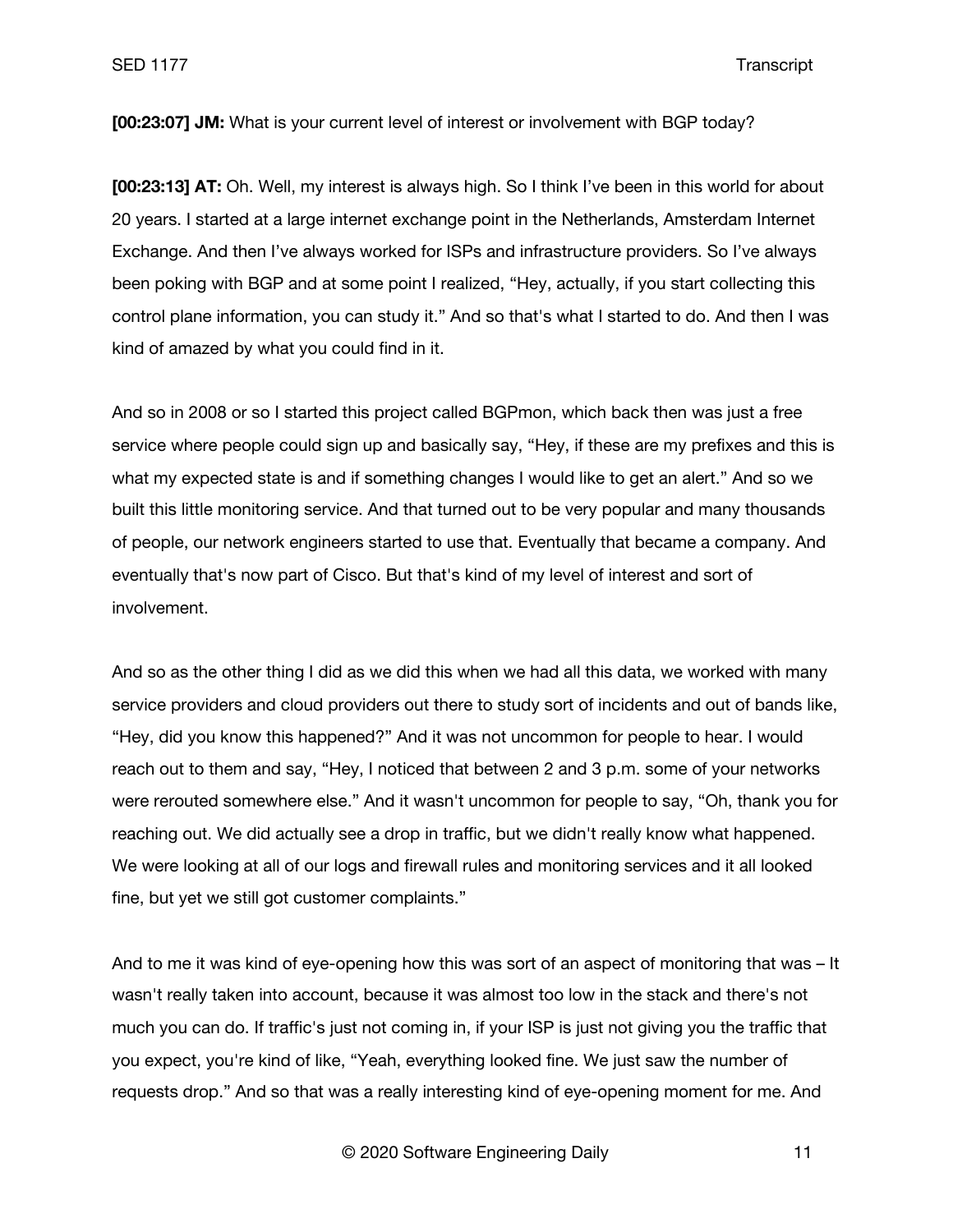SED 1177 Transcript

**[00:23:07] JM:** What is your current level of interest or involvement with BGP today?

**[00:23:13] AT:** Oh. Well, my interest is always high. So I think I've been in this world for about 20 years. I started at a large internet exchange point in the Netherlands, Amsterdam Internet Exchange. And then I've always worked for ISPs and infrastructure providers. So I've always been poking with BGP and at some point I realized, "Hey, actually, if you start collecting this control plane information, you can study it." And so that's what I started to do. And then I was kind of amazed by what you could find in it.

And so in 2008 or so I started this project called BGPmon, which back then was just a free service where people could sign up and basically say, "Hey, if these are my prefixes and this is what my expected state is and if something changes I would like to get an alert." And so we built this little monitoring service. And that turned out to be very popular and many thousands of people, our network engineers started to use that. Eventually that became a company. And eventually that's now part of Cisco. But that's kind of my level of interest and sort of involvement.

And so as the other thing I did as we did this when we had all this data, we worked with many service providers and cloud providers out there to study sort of incidents and out of bands like, "Hey, did you know this happened?" And it was not uncommon for people to hear. I would reach out to them and say, "Hey, I noticed that between 2 and 3 p.m. some of your networks were rerouted somewhere else." And it wasn't uncommon for people to say, "Oh, thank you for reaching out. We did actually see a drop in traffic, but we didn't really know what happened. We were looking at all of our logs and firewall rules and monitoring services and it all looked fine, but yet we still got customer complaints."

And to me it was kind of eye-opening how this was sort of an aspect of monitoring that was – It wasn't really taken into account, because it was almost too low in the stack and there's not much you can do. If traffic's just not coming in, if your ISP is just not giving you the traffic that you expect, you're kind of like, "Yeah, everything looked fine. We just saw the number of requests drop." And so that was a really interesting kind of eye-opening moment for me. And

© 2020 Software Engineering Daily 11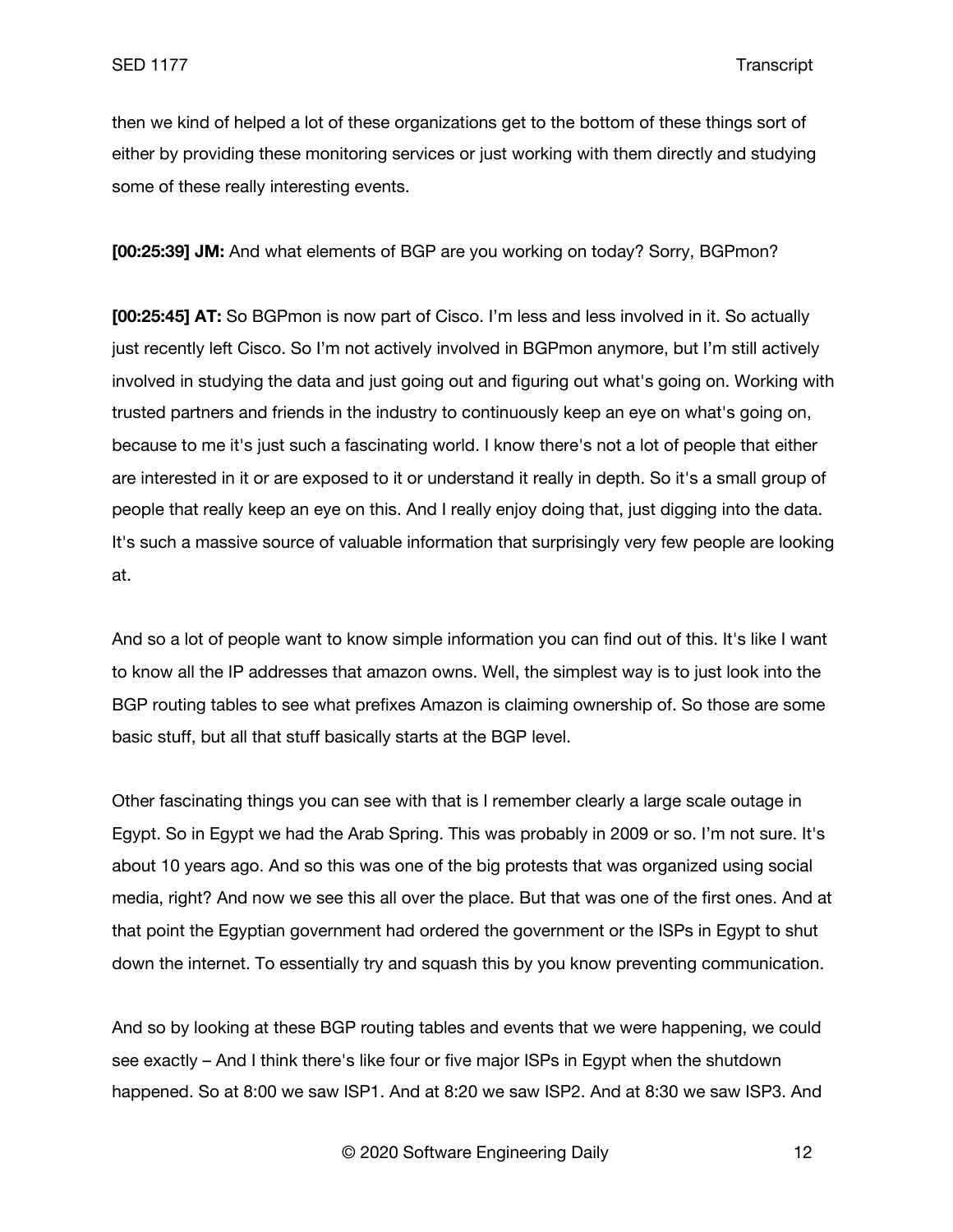then we kind of helped a lot of these organizations get to the bottom of these things sort of either by providing these monitoring services or just working with them directly and studying some of these really interesting events.

**[00:25:39] JM:** And what elements of BGP are you working on today? Sorry, BGPmon?

**[00:25:45] AT:** So BGPmon is now part of Cisco. I'm less and less involved in it. So actually just recently left Cisco. So I'm not actively involved in BGPmon anymore, but I'm still actively involved in studying the data and just going out and figuring out what's going on. Working with trusted partners and friends in the industry to continuously keep an eye on what's going on, because to me it's just such a fascinating world. I know there's not a lot of people that either are interested in it or are exposed to it or understand it really in depth. So it's a small group of people that really keep an eye on this. And I really enjoy doing that, just digging into the data. It's such a massive source of valuable information that surprisingly very few people are looking at.

And so a lot of people want to know simple information you can find out of this. It's like I want to know all the IP addresses that amazon owns. Well, the simplest way is to just look into the BGP routing tables to see what prefixes Amazon is claiming ownership of. So those are some basic stuff, but all that stuff basically starts at the BGP level.

Other fascinating things you can see with that is I remember clearly a large scale outage in Egypt. So in Egypt we had the Arab Spring. This was probably in 2009 or so. I'm not sure. It's about 10 years ago. And so this was one of the big protests that was organized using social media, right? And now we see this all over the place. But that was one of the first ones. And at that point the Egyptian government had ordered the government or the ISPs in Egypt to shut down the internet. To essentially try and squash this by you know preventing communication.

And so by looking at these BGP routing tables and events that we were happening, we could see exactly – And I think there's like four or five major ISPs in Egypt when the shutdown happened. So at 8:00 we saw ISP1. And at 8:20 we saw ISP2. And at 8:30 we saw ISP3. And

© 2020 Software Engineering Daily 12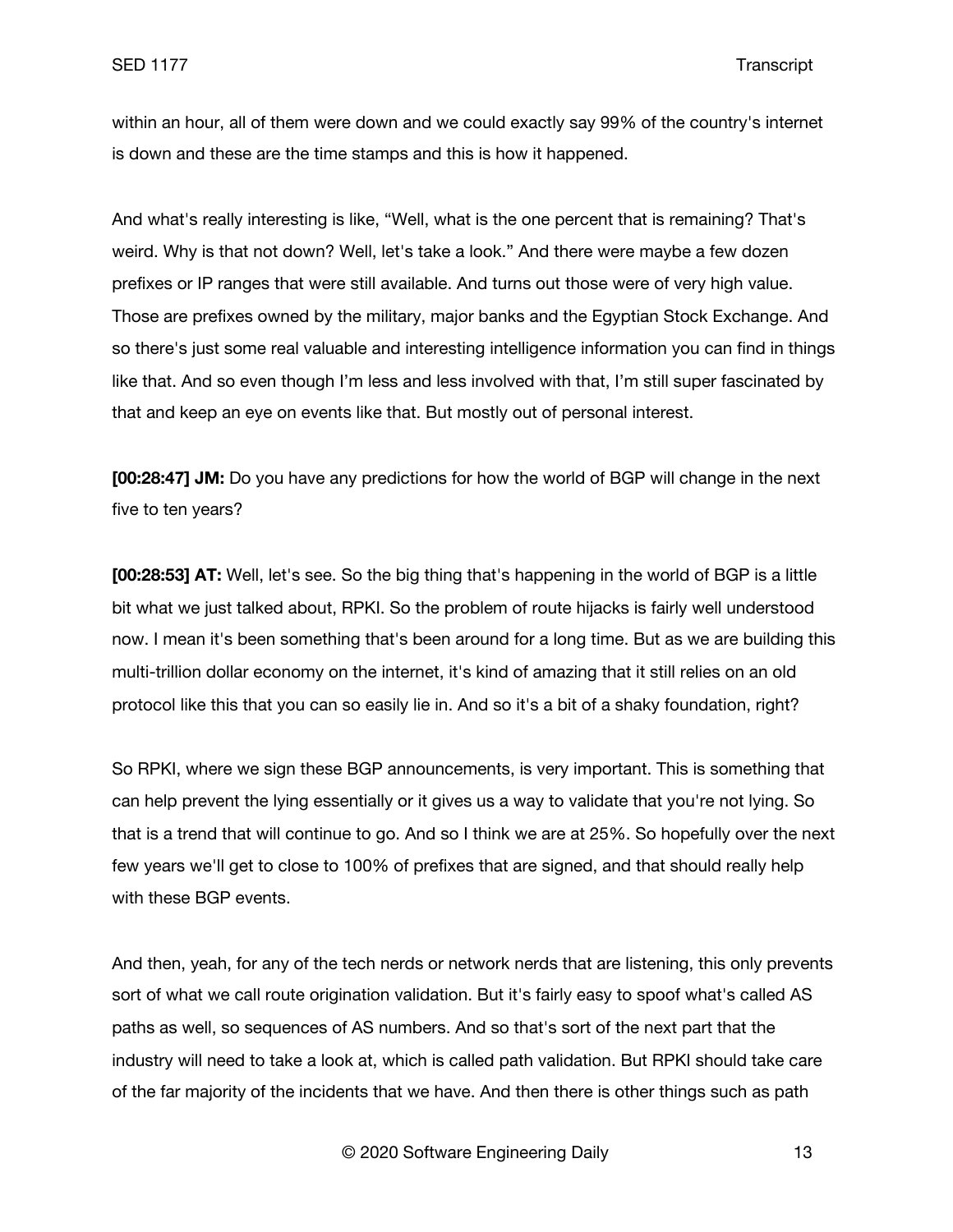within an hour, all of them were down and we could exactly say 99% of the country's internet is down and these are the time stamps and this is how it happened.

And what's really interesting is like, "Well, what is the one percent that is remaining? That's weird. Why is that not down? Well, let's take a look." And there were maybe a few dozen prefixes or IP ranges that were still available. And turns out those were of very high value. Those are prefixes owned by the military, major banks and the Egyptian Stock Exchange. And so there's just some real valuable and interesting intelligence information you can find in things like that. And so even though I'm less and less involved with that, I'm still super fascinated by that and keep an eye on events like that. But mostly out of personal interest.

**[00:28:47] JM:** Do you have any predictions for how the world of BGP will change in the next five to ten years?

**[00:28:53] AT:** Well, let's see. So the big thing that's happening in the world of BGP is a little bit what we just talked about, RPKI. So the problem of route hijacks is fairly well understood now. I mean it's been something that's been around for a long time. But as we are building this multi-trillion dollar economy on the internet, it's kind of amazing that it still relies on an old protocol like this that you can so easily lie in. And so it's a bit of a shaky foundation, right?

So RPKI, where we sign these BGP announcements, is very important. This is something that can help prevent the lying essentially or it gives us a way to validate that you're not lying. So that is a trend that will continue to go. And so I think we are at 25%. So hopefully over the next few years we'll get to close to 100% of prefixes that are signed, and that should really help with these BGP events.

And then, yeah, for any of the tech nerds or network nerds that are listening, this only prevents sort of what we call route origination validation. But it's fairly easy to spoof what's called AS paths as well, so sequences of AS numbers. And so that's sort of the next part that the industry will need to take a look at, which is called path validation. But RPKI should take care of the far majority of the incidents that we have. And then there is other things such as path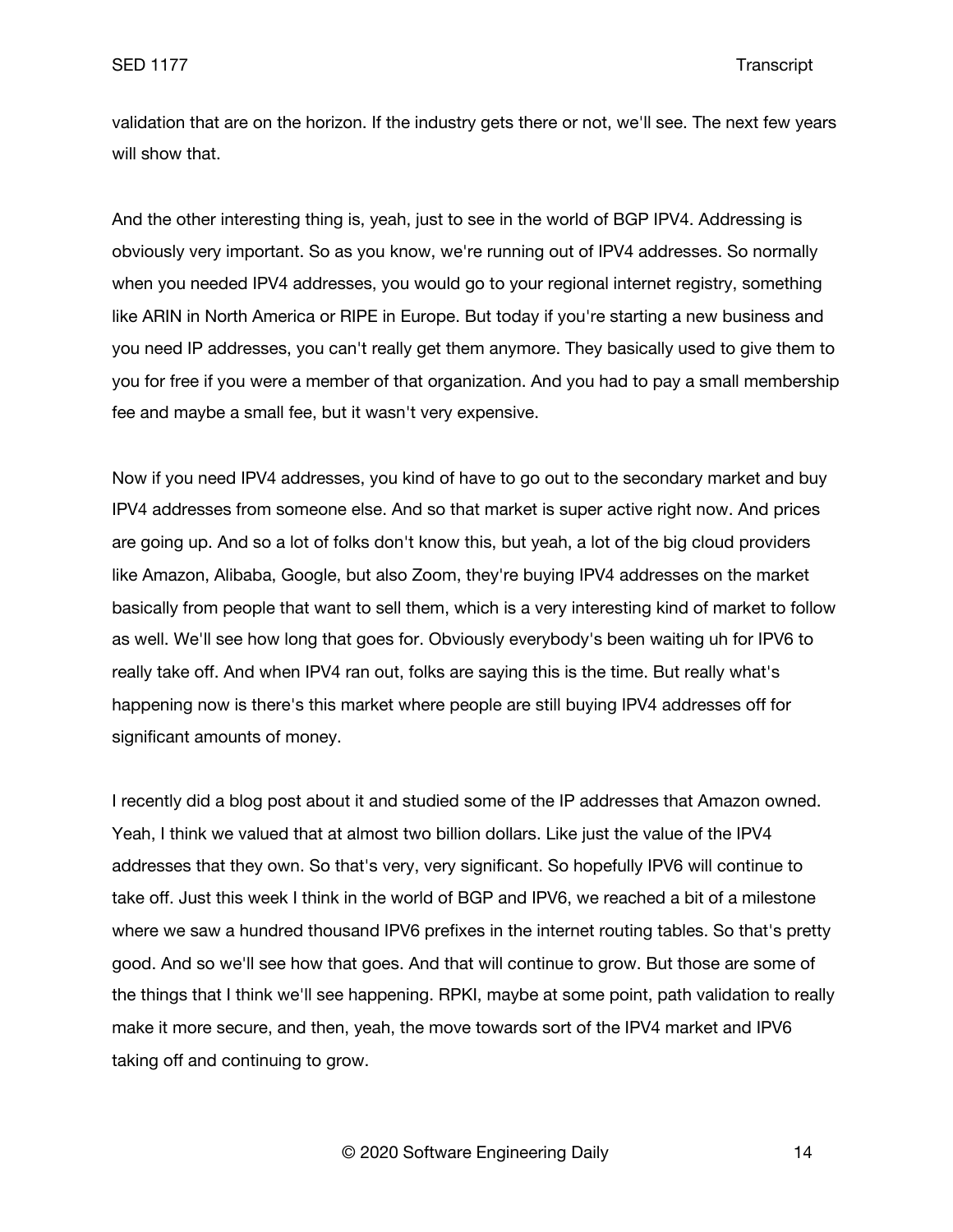validation that are on the horizon. If the industry gets there or not, we'll see. The next few years will show that.

And the other interesting thing is, yeah, just to see in the world of BGP IPV4. Addressing is obviously very important. So as you know, we're running out of IPV4 addresses. So normally when you needed IPV4 addresses, you would go to your regional internet registry, something like ARIN in North America or RIPE in Europe. But today if you're starting a new business and you need IP addresses, you can't really get them anymore. They basically used to give them to you for free if you were a member of that organization. And you had to pay a small membership fee and maybe a small fee, but it wasn't very expensive.

Now if you need IPV4 addresses, you kind of have to go out to the secondary market and buy IPV4 addresses from someone else. And so that market is super active right now. And prices are going up. And so a lot of folks don't know this, but yeah, a lot of the big cloud providers like Amazon, Alibaba, Google, but also Zoom, they're buying IPV4 addresses on the market basically from people that want to sell them, which is a very interesting kind of market to follow as well. We'll see how long that goes for. Obviously everybody's been waiting uh for IPV6 to really take off. And when IPV4 ran out, folks are saying this is the time. But really what's happening now is there's this market where people are still buying IPV4 addresses off for significant amounts of money.

I recently did a blog post about it and studied some of the IP addresses that Amazon owned. Yeah, I think we valued that at almost two billion dollars. Like just the value of the IPV4 addresses that they own. So that's very, very significant. So hopefully IPV6 will continue to take off. Just this week I think in the world of BGP and IPV6, we reached a bit of a milestone where we saw a hundred thousand IPV6 prefixes in the internet routing tables. So that's pretty good. And so we'll see how that goes. And that will continue to grow. But those are some of the things that I think we'll see happening. RPKI, maybe at some point, path validation to really make it more secure, and then, yeah, the move towards sort of the IPV4 market and IPV6 taking off and continuing to grow.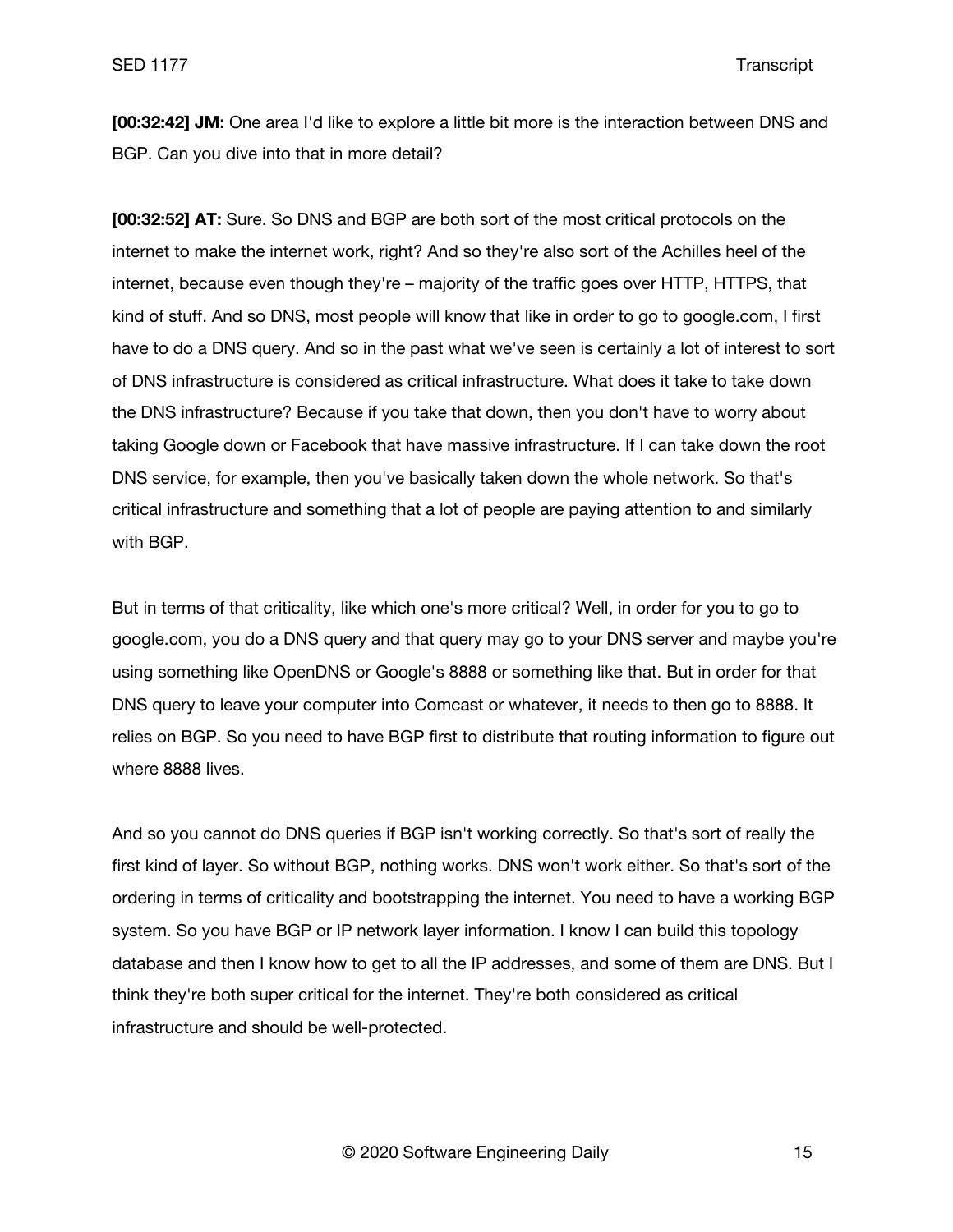**[00:32:42] JM:** One area I'd like to explore a little bit more is the interaction between DNS and BGP. Can you dive into that in more detail?

**[00:32:52] AT:** Sure. So DNS and BGP are both sort of the most critical protocols on the internet to make the internet work, right? And so they're also sort of the Achilles heel of the internet, because even though they're – majority of the traffic goes over HTTP, HTTPS, that kind of stuff. And so DNS, most people will know that like in order to go to google.com, I first have to do a DNS query. And so in the past what we've seen is certainly a lot of interest to sort of DNS infrastructure is considered as critical infrastructure. What does it take to take down the DNS infrastructure? Because if you take that down, then you don't have to worry about taking Google down or Facebook that have massive infrastructure. If I can take down the root DNS service, for example, then you've basically taken down the whole network. So that's critical infrastructure and something that a lot of people are paying attention to and similarly with BGP.

But in terms of that criticality, like which one's more critical? Well, in order for you to go to google.com, you do a DNS query and that query may go to your DNS server and maybe you're using something like OpenDNS or Google's 8888 or something like that. But in order for that DNS query to leave your computer into Comcast or whatever, it needs to then go to 8888. It relies on BGP. So you need to have BGP first to distribute that routing information to figure out where 8888 lives.

And so you cannot do DNS queries if BGP isn't working correctly. So that's sort of really the first kind of layer. So without BGP, nothing works. DNS won't work either. So that's sort of the ordering in terms of criticality and bootstrapping the internet. You need to have a working BGP system. So you have BGP or IP network layer information. I know I can build this topology database and then I know how to get to all the IP addresses, and some of them are DNS. But I think they're both super critical for the internet. They're both considered as critical infrastructure and should be well-protected.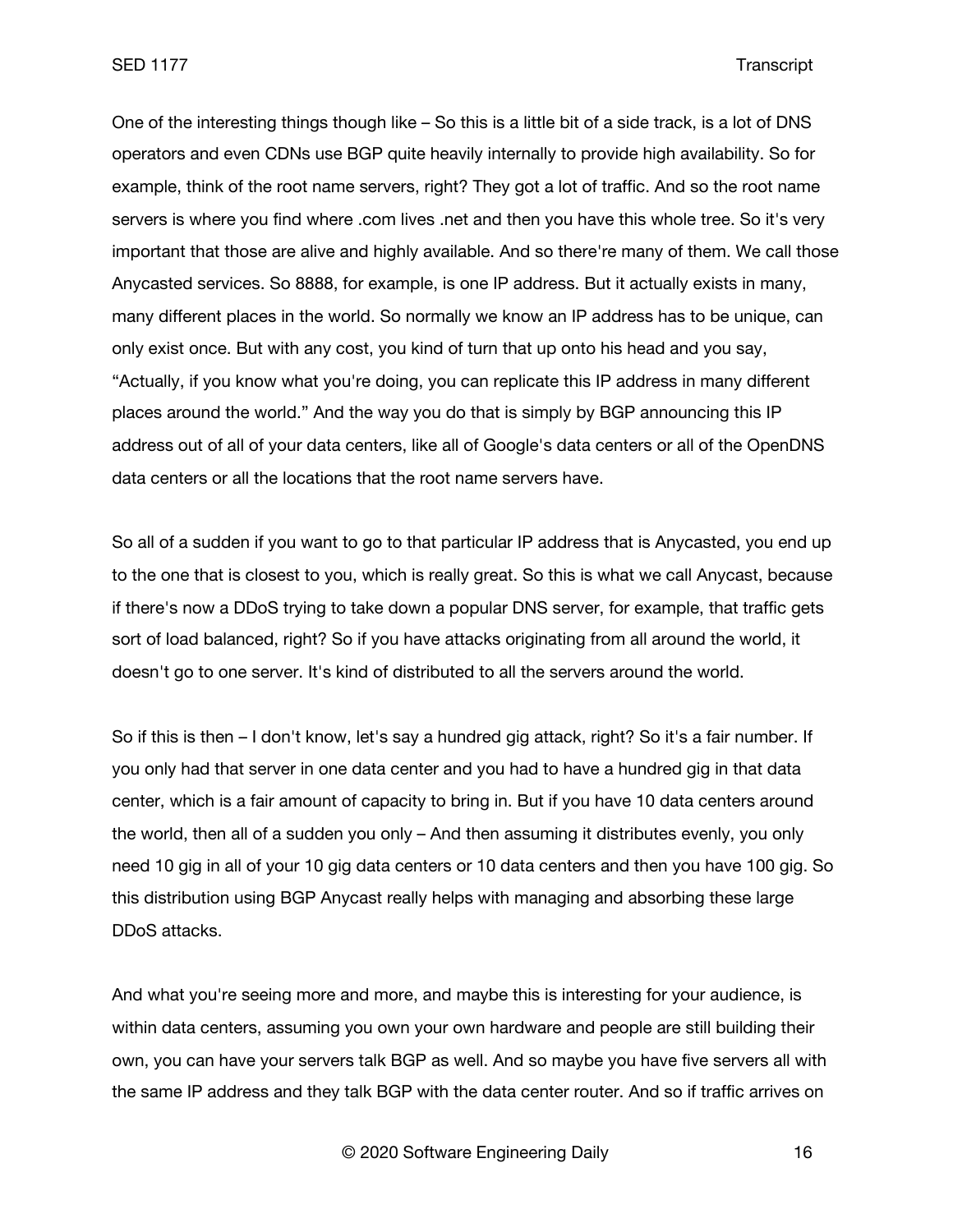One of the interesting things though like – So this is a little bit of a side track, is a lot of DNS operators and even CDNs use BGP quite heavily internally to provide high availability. So for example, think of the root name servers, right? They got a lot of traffic. And so the root name servers is where you find where .com lives .net and then you have this whole tree. So it's very important that those are alive and highly available. And so there're many of them. We call those Anycasted services. So 8888, for example, is one IP address. But it actually exists in many, many different places in the world. So normally we know an IP address has to be unique, can only exist once. But with any cost, you kind of turn that up onto his head and you say, "Actually, if you know what you're doing, you can replicate this IP address in many different places around the world." And the way you do that is simply by BGP announcing this IP address out of all of your data centers, like all of Google's data centers or all of the OpenDNS data centers or all the locations that the root name servers have.

So all of a sudden if you want to go to that particular IP address that is Anycasted, you end up to the one that is closest to you, which is really great. So this is what we call Anycast, because if there's now a DDoS trying to take down a popular DNS server, for example, that traffic gets sort of load balanced, right? So if you have attacks originating from all around the world, it doesn't go to one server. It's kind of distributed to all the servers around the world.

So if this is then – I don't know, let's say a hundred gig attack, right? So it's a fair number. If you only had that server in one data center and you had to have a hundred gig in that data center, which is a fair amount of capacity to bring in. But if you have 10 data centers around the world, then all of a sudden you only – And then assuming it distributes evenly, you only need 10 gig in all of your 10 gig data centers or 10 data centers and then you have 100 gig. So this distribution using BGP Anycast really helps with managing and absorbing these large DDoS attacks.

And what you're seeing more and more, and maybe this is interesting for your audience, is within data centers, assuming you own your own hardware and people are still building their own, you can have your servers talk BGP as well. And so maybe you have five servers all with the same IP address and they talk BGP with the data center router. And so if traffic arrives on